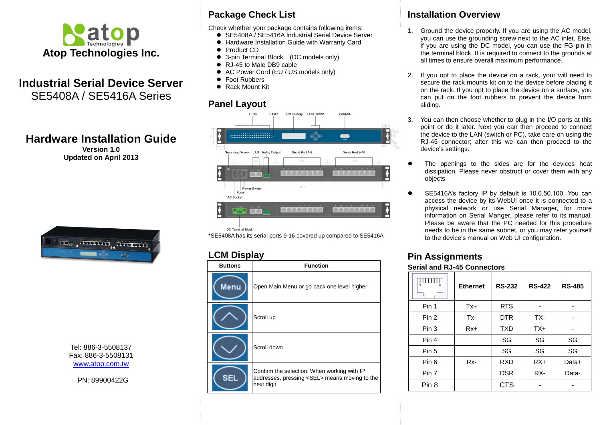

# **Industrial Serial Device Server** SE5408A / SE5416A Series

# **Hardware Installation Guide**

**Version 1.0 Updated on April 2013**



Tel: 886-3-5508137 Fax: 886-3-5508131 [www.atop.com.tw](http://www.atop.com.tw/)

PN: 89900422G

## **Package Check List**

Check whether your package contains following items:

- SE5408A / SE5416A Industrial Serial Device Server
- Hardware Installation Guide with Warranty Card
- Product CD
- 3-pin Terminal Block (DC models only)
- RJ-45 to Male DB9 cable
- AC Power Cord (EU / US models only)
- Foot Rubbers
- Rack Mount Kit

### **Panel Layout**



DC Terminal Block

\*SE5408A has its serial ports 9-16 covered up compared to SE5416A

### **LCM Display**

| <b>Buttons</b> | <b>Function</b>                                                                                                   |
|----------------|-------------------------------------------------------------------------------------------------------------------|
| Menu           | Open Main Menu or go back one level higher                                                                        |
|                | Scroll up                                                                                                         |
|                | Scroll down                                                                                                       |
| SEL            | Confirm the selection. When working with IP<br>addresses, pressing <sel> means moving to the<br/>next digit</sel> |

## **Installation Overview**

- 1. Ground the device properly. If you are using the AC model, you can use the grounding screw next to the AC inlet. Else, if you are using the DC model, you can use the FG pin in the terminal block. It is required to connect to the grounds at all times to ensure overall maximum performance.
- 2. If you opt to place the device on a rack, your will need to secure the rack mounts kit on to the device before placing it on the rack. If you opt to place the device on a surface, you can put on the foot rubbers to prevent the device from sliding.
- 3. You can then choose whether to plug in the I/O ports at this point or do it later. Next you can then proceed to connect the device to the LAN (switch or PC), take care on using the RJ-45 connector; after this we can then proceed to the device's settings.
- The openings to the sides are for the devices heat dissipation. Please never obstruct or cover them with any objects.
- SE5416A's factory IP by default is 10.0.50.100. You can access the device by its WebUI once it is connected to a physical network or use Serial Manager, for more information on Serial Manger, please refer to its manual. Please be aware that the PC needed for this procedure needs to be in the same subnet, or you may refer yourself to the device's manual on Web UI configuration.

# **Pin Assignments**

#### **Serial and RJ-45 Connectors**

|       | <b>Ethernet</b> | <b>RS-232</b> | <b>RS-422</b> | <b>RS-485</b> |
|-------|-----------------|---------------|---------------|---------------|
| Pin 1 | $Tx+$           | <b>RTS</b>    |               |               |
| Pin 2 | Tx-             | <b>DTR</b>    | TX-           |               |
| Pin 3 | $Rx+$           | <b>TXD</b>    | $TX+$         |               |
| Pin 4 |                 | SG            | SG            | SG            |
| Pin 5 |                 | SG            | SG            | SG            |
| Pin 6 | Rx-             | <b>RXD</b>    | $RX+$         | Data+         |
| Pin 7 |                 | <b>DSR</b>    | RX-           | Data-         |
| Pin 8 |                 | <b>CTS</b>    |               |               |